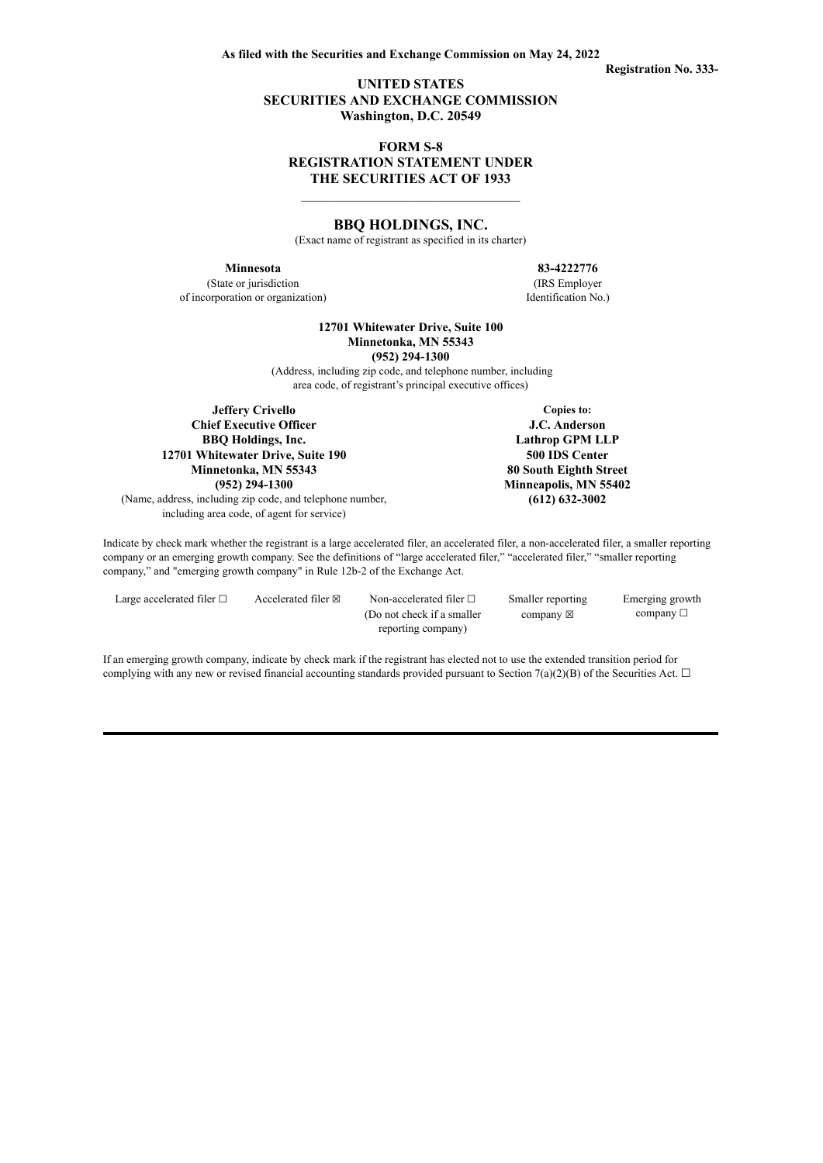**Registration No. 333-**

## **UNITED STATES SECURITIES AND EXCHANGE COMMISSION Washington, D.C. 20549**

## **FORM S-8 REGISTRATION STATEMENT UNDER THE SECURITIES ACT OF 1933**

\_\_\_\_\_\_\_\_\_\_\_\_\_\_\_\_\_\_\_\_\_\_\_\_\_\_\_\_\_\_\_\_

### **BBQ HOLDINGS, INC.**

(Exact name of registrant as specified in its charter)

(State or jurisdiction (IRS Employer of incorporation or organization) Identification No.)

**Minnesota 83-4222776**

**12701 Whitewater Drive, Suite 100 Minnetonka, MN 55343 (952) 294-1300**

(Address, including zip code, and telephone number, including area code, of registrant's principal executive offices)

**Jeffery Crivello Copies to:**<br> **Copies to:**<br> **J.C. Anderson Chief Executive Officer BBQ Holdings, Inc. Lathrop GPM LLP 12701 Whitewater Drive, Suite 190 500 IDS Center Minnetonka, MN 55343 80 South Eighth Street (952) 294-1300 Minneapolis, MN 55402**

(Name, address, including zip code, and telephone number, **(612) 632-3002** including area code, of agent for service)

Indicate by check mark whether the registrant is a large accelerated filer, an accelerated filer, a non-accelerated filer, a smaller reporting company or an emerging growth company. See the definitions of "large accelerated filer," "accelerated filer," "smaller reporting company," and "emerging growth company" in Rule 12b-2 of the Exchange Act.

Large accelerated filer  $□$  Accelerated filer  $□$  Non-accelerated filer  $□$ (Do not check if a smaller reporting company) Smaller reporting company  $\boxtimes$ Emerging growth  $company \Box$ 

If an emerging growth company, indicate by check mark if the registrant has elected not to use the extended transition period for complying with any new or revised financial accounting standards provided pursuant to Section 7(a)(2)(B) of the Securities Act.  $\Box$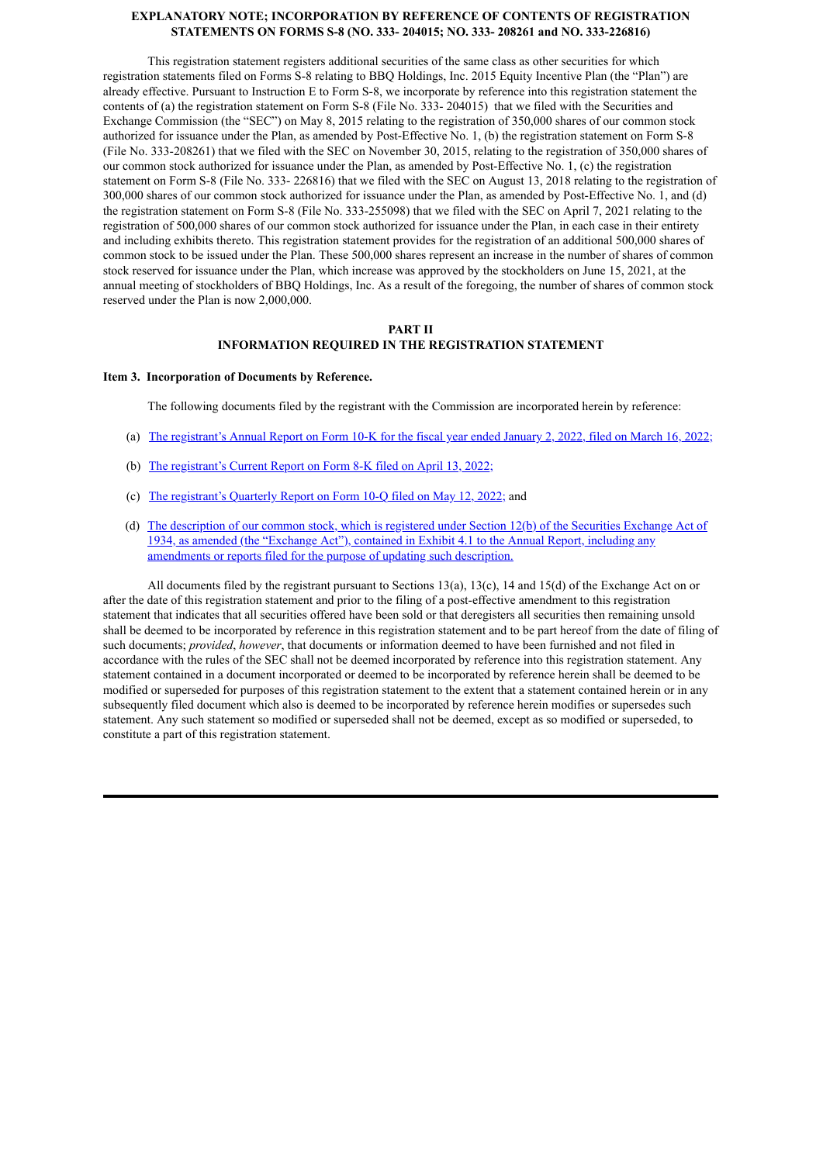### **EXPLANATORY NOTE; INCORPORATION BY REFERENCE OF CONTENTS OF REGISTRATION STATEMENTS ON FORMS S-8 (NO. 333- 204015; NO. 333- 208261 and NO. 333-226816)**

This registration statement registers additional securities of the same class as other securities for which registration statements filed on Forms S-8 relating to BBQ Holdings, Inc. 2015 Equity Incentive Plan (the "Plan") are already effective. Pursuant to Instruction E to Form S-8, we incorporate by reference into this registration statement the contents of (a) the registration statement on Form S-8 (File No. 333- 204015) that we filed with the Securities and Exchange Commission (the "SEC") on May 8, 2015 relating to the registration of 350,000 shares of our common stock authorized for issuance under the Plan, as amended by Post-Effective No. 1, (b) the registration statement on Form S-8 (File No. 333-208261) that we filed with the SEC on November 30, 2015, relating to the registration of 350,000 shares of our common stock authorized for issuance under the Plan, as amended by Post-Effective No. 1, (c) the registration statement on Form S-8 (File No. 333- 226816) that we filed with the SEC on August 13, 2018 relating to the registration of 300,000 shares of our common stock authorized for issuance under the Plan, as amended by Post-Effective No. 1, and (d) the registration statement on Form S-8 (File No. 333-255098) that we filed with the SEC on April 7, 2021 relating to the registration of 500,000 shares of our common stock authorized for issuance under the Plan, in each case in their entirety and including exhibits thereto. This registration statement provides for the registration of an additional 500,000 shares of common stock to be issued under the Plan. These 500,000 shares represent an increase in the number of shares of common stock reserved for issuance under the Plan, which increase was approved by the stockholders on June 15, 2021, at the annual meeting of stockholders of BBQ Holdings, Inc. As a result of the foregoing, the number of shares of common stock reserved under the Plan is now 2,000,000.

### **PART II INFORMATION REQUIRED IN THE REGISTRATION STATEMENT**

### **Item 3. Incorporation of Documents by Reference.**

The following documents filed by the registrant with the Commission are incorporated herein by reference:

- (a) The [registrant's](https://www.sec.gov/ix?doc=/Archives/edgar/data/1021270/000155837022003759/bbq-20220102x10k.htm) Annual Report on Form 10-K for the fiscal year ended January 2, 2022, filed on March 16, 2022;
- (b) The [registrant's](https://www.sec.gov/ix?doc=/Archives/edgar/data/1021270/000155837022005376/bbq-20220411x8k.htm) Current Report on Form 8-K filed on April 13, 2022;
- (c) The [registrant's](https://www.sec.gov/ix?doc=/Archives/edgar/data/1021270/000155837022008551/bbq-20220403x10q.htm) Quarterly Report on Form 10-Q filed on May 12, 2022; and
- (d) The description of our common stock, which is registered under Section 12(b) of the Securities Exchange Act of 1934, as amended (the "Exchange Act"), contained in Exhibit 4.1 to the Annual Report, including any [amendments](https://www.sec.gov/Archives/edgar/data/1021270/000155837020003261/ex-4d1.htm) or reports filed for the purpose of updating such description.

All documents filed by the registrant pursuant to Sections 13(a), 13(c), 14 and 15(d) of the Exchange Act on or after the date of this registration statement and prior to the filing of a post-effective amendment to this registration statement that indicates that all securities offered have been sold or that deregisters all securities then remaining unsold shall be deemed to be incorporated by reference in this registration statement and to be part hereof from the date of filing of such documents; *provided*, *however*, that documents or information deemed to have been furnished and not filed in accordance with the rules of the SEC shall not be deemed incorporated by reference into this registration statement. Any statement contained in a document incorporated or deemed to be incorporated by reference herein shall be deemed to be modified or superseded for purposes of this registration statement to the extent that a statement contained herein or in any subsequently filed document which also is deemed to be incorporated by reference herein modifies or supersedes such statement. Any such statement so modified or superseded shall not be deemed, except as so modified or superseded, to constitute a part of this registration statement.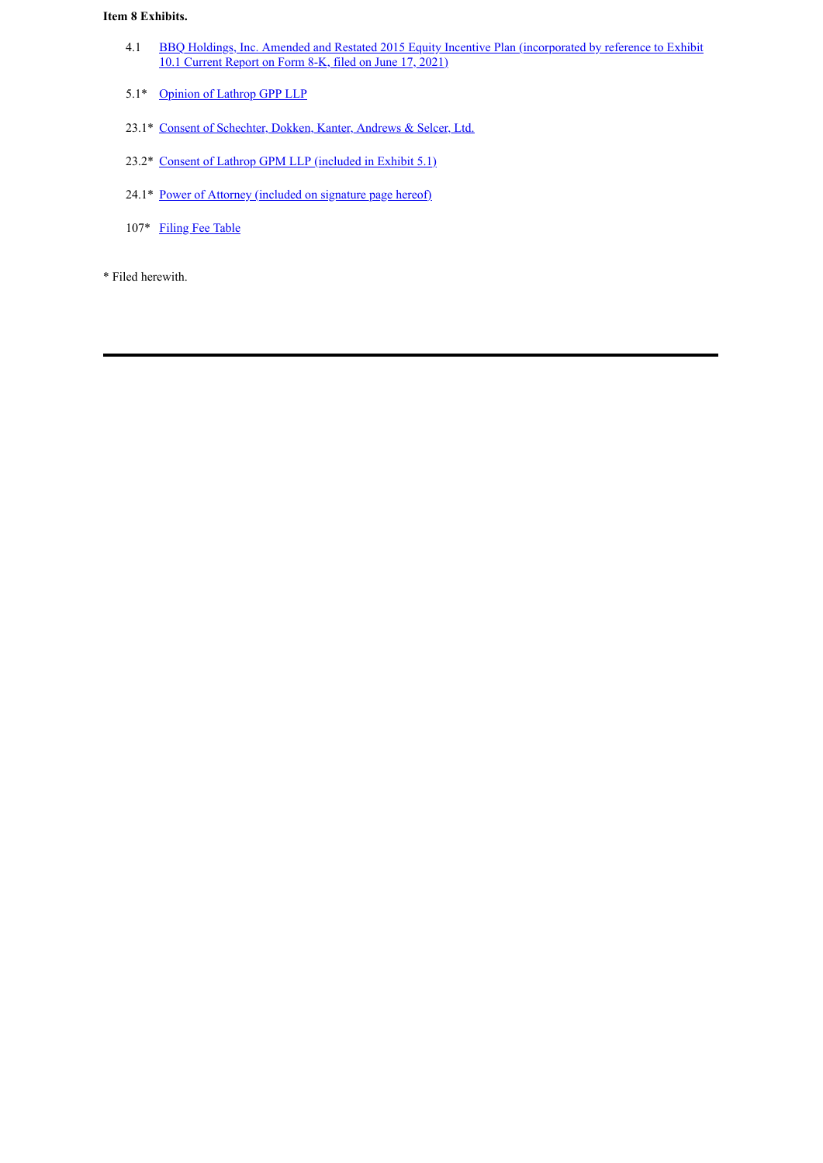## **Item 8 Exhibits.**

- 4.1 BBQ Holdings, Inc. Amended and Restated 2015 Equity Incentive Plan [\(incorporated](https://www.sec.gov/Archives/edgar/data/0001021270/000155837021008404/tmb-20210611xex10d1.htm) by reference to Exhibit 10.1 Current Report on Form 8-K, filed on June 17, 2021)
- 5.1\* [Opinion](#page-4-0) of Lathrop GPP LLP
- 23.1\* Consent of [Schechter,](#page-5-0) Dokken, Kanter, Andrews & Selcer, Ltd.
- 23.2\* Consent of Lathrop GPM LLP [\(included](#page-4-0) in Exhibit 5.1)
- 24.1\* Power of Attorney [\(included](#page-3-0) on signature page hereof)
- 107\* [Filing](#page-6-0) Fee Table

\* Filed herewith.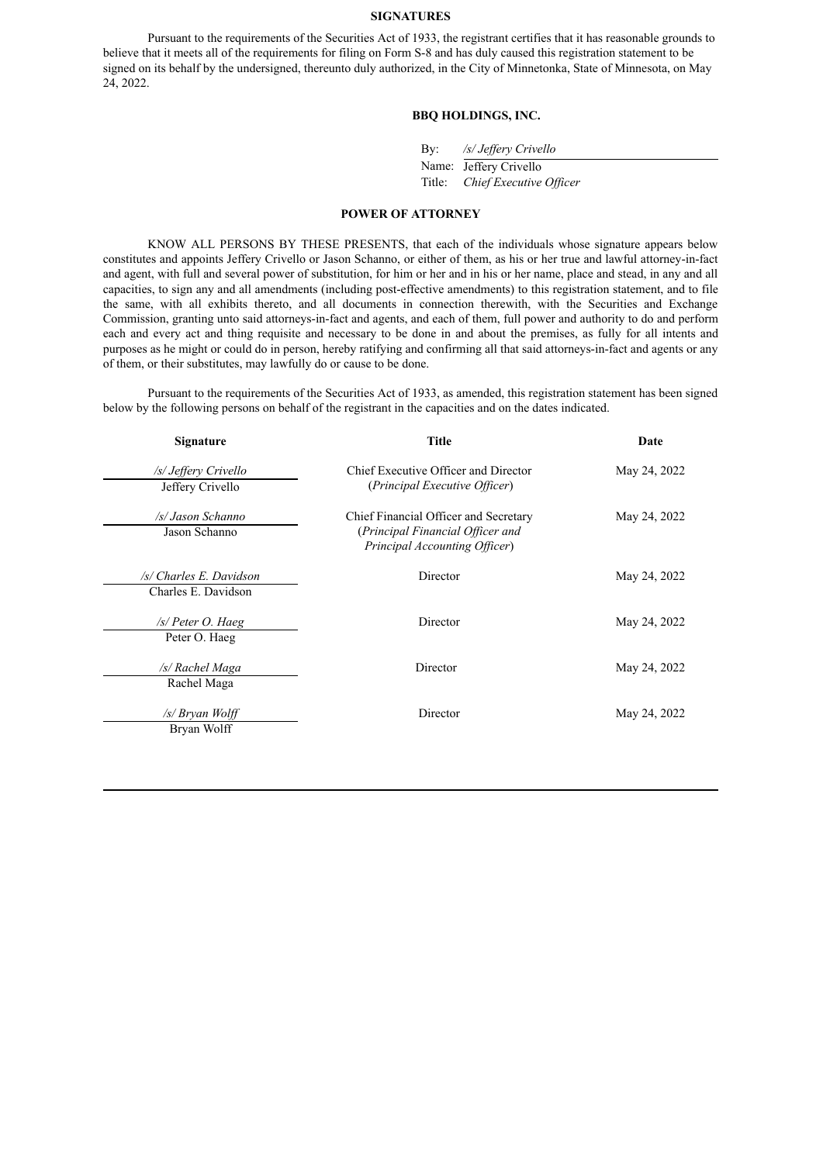### <span id="page-3-0"></span>**SIGNATURES**

Pursuant to the requirements of the Securities Act of 1933, the registrant certifies that it has reasonable grounds to believe that it meets all of the requirements for filing on Form S-8 and has duly caused this registration statement to be signed on its behalf by the undersigned, thereunto duly authorized, in the City of Minnetonka, State of Minnesota, on May 24, 2022.

## **BBQ HOLDINGS, INC.**

| /s/ Jeffery Crivello<br>By: |
|-----------------------------|
|-----------------------------|

Name: Jeffery Crivello Title: *Chief Executive Of icer*

# **POWER OF ATTORNEY**

KNOW ALL PERSONS BY THESE PRESENTS, that each of the individuals whose signature appears below constitutes and appoints Jeffery Crivello or Jason Schanno, or either of them, as his or her true and lawful attorney-in-fact and agent, with full and several power of substitution, for him or her and in his or her name, place and stead, in any and all capacities, to sign any and all amendments (including post-effective amendments) to this registration statement, and to file the same, with all exhibits thereto, and all documents in connection therewith, with the Securities and Exchange Commission, granting unto said attorneys-in-fact and agents, and each of them, full power and authority to do and perform each and every act and thing requisite and necessary to be done in and about the premises, as fully for all intents and purposes as he might or could do in person, hereby ratifying and confirming all that said attorneys-in-fact and agents or any of them, or their substitutes, may lawfully do or cause to be done.

Pursuant to the requirements of the Securities Act of 1933, as amended, this registration statement has been signed below by the following persons on behalf of the registrant in the capacities and on the dates indicated.

| Title                                                                                                      | Date         |  |  |
|------------------------------------------------------------------------------------------------------------|--------------|--|--|
| Chief Executive Officer and Director<br>(Principal Executive Officer)                                      | May 24, 2022 |  |  |
| Chief Financial Officer and Secretary<br>(Principal Financial Officer and<br>Principal Accounting Officer) | May 24, 2022 |  |  |
| Director                                                                                                   | May 24, 2022 |  |  |
| Director                                                                                                   | May 24, 2022 |  |  |
| Director                                                                                                   | May 24, 2022 |  |  |
| Director                                                                                                   | May 24, 2022 |  |  |
|                                                                                                            |              |  |  |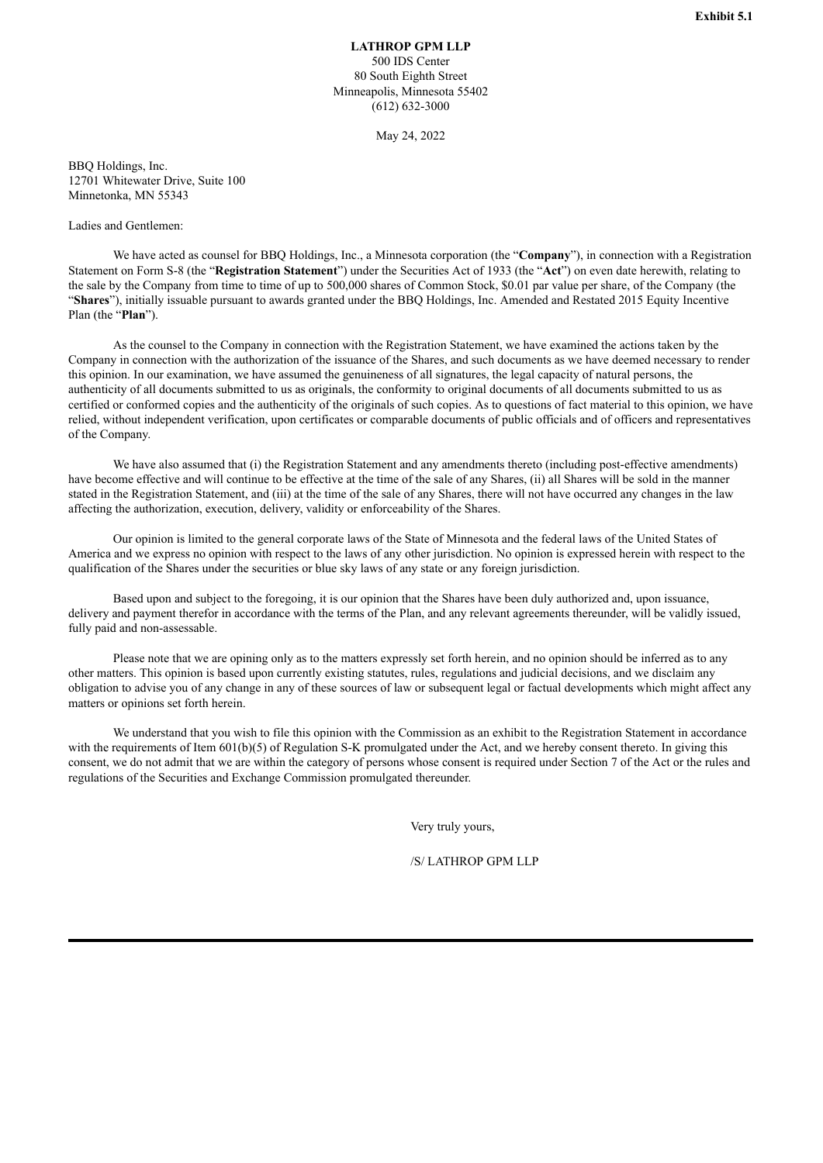**LATHROP GPM LLP** 500 IDS Center 80 South Eighth Street Minneapolis, Minnesota 55402 (612) 632-3000

May 24, 2022

<span id="page-4-0"></span>BBQ Holdings, Inc. 12701 Whitewater Drive, Suite 100 Minnetonka, MN 55343

## Ladies and Gentlemen:

We have acted as counsel for BBQ Holdings, Inc., a Minnesota corporation (the "**Company**"), in connection with a Registration Statement on Form S-8 (the "**Registration Statement**") under the Securities Act of 1933 (the "**Act**") on even date herewith, relating to the sale by the Company from time to time of up to 500,000 shares of Common Stock, \$0.01 par value per share, of the Company (the "**Shares**"), initially issuable pursuant to awards granted under the BBQ Holdings, Inc. Amended and Restated 2015 Equity Incentive Plan (the "**Plan**").

As the counsel to the Company in connection with the Registration Statement, we have examined the actions taken by the Company in connection with the authorization of the issuance of the Shares, and such documents as we have deemed necessary to render this opinion. In our examination, we have assumed the genuineness of all signatures, the legal capacity of natural persons, the authenticity of all documents submitted to us as originals, the conformity to original documents of all documents submitted to us as certified or conformed copies and the authenticity of the originals of such copies. As to questions of fact material to this opinion, we have relied, without independent verification, upon certificates or comparable documents of public officials and of officers and representatives of the Company.

We have also assumed that (i) the Registration Statement and any amendments thereto (including post-effective amendments) have become effective and will continue to be effective at the time of the sale of any Shares, (ii) all Shares will be sold in the manner stated in the Registration Statement, and (iii) at the time of the sale of any Shares, there will not have occurred any changes in the law affecting the authorization, execution, delivery, validity or enforceability of the Shares.

Our opinion is limited to the general corporate laws of the State of Minnesota and the federal laws of the United States of America and we express no opinion with respect to the laws of any other jurisdiction. No opinion is expressed herein with respect to the qualification of the Shares under the securities or blue sky laws of any state or any foreign jurisdiction.

Based upon and subject to the foregoing, it is our opinion that the Shares have been duly authorized and, upon issuance, delivery and payment therefor in accordance with the terms of the Plan, and any relevant agreements thereunder, will be validly issued, fully paid and non-assessable.

Please note that we are opining only as to the matters expressly set forth herein, and no opinion should be inferred as to any other matters. This opinion is based upon currently existing statutes, rules, regulations and judicial decisions, and we disclaim any obligation to advise you of any change in any of these sources of law or subsequent legal or factual developments which might affect any matters or opinions set forth herein.

We understand that you wish to file this opinion with the Commission as an exhibit to the Registration Statement in accordance with the requirements of Item 601(b)(5) of Regulation S-K promulgated under the Act, and we hereby consent thereto. In giving this consent, we do not admit that we are within the category of persons whose consent is required under Section 7 of the Act or the rules and regulations of the Securities and Exchange Commission promulgated thereunder.

Very truly yours,

/S/ LATHROP GPM LLP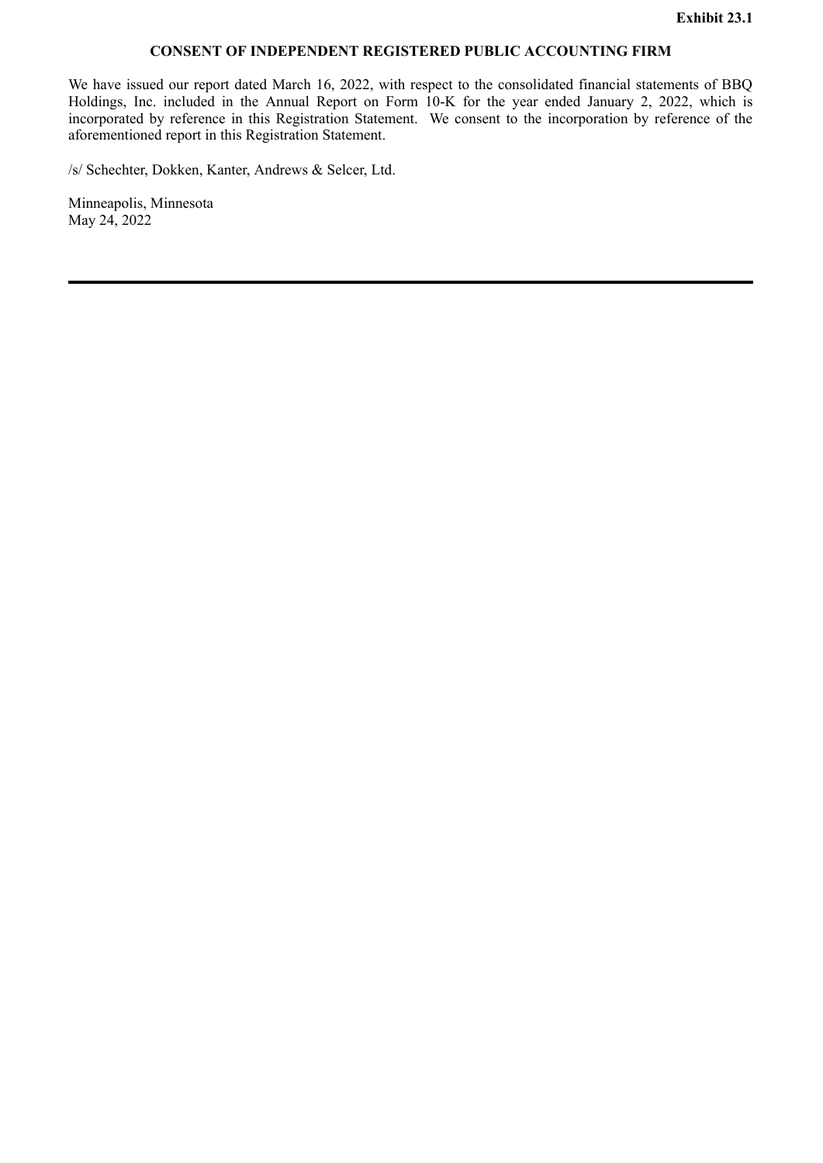# **CONSENT OF INDEPENDENT REGISTERED PUBLIC ACCOUNTING FIRM**

<span id="page-5-0"></span>We have issued our report dated March 16, 2022, with respect to the consolidated financial statements of BBQ Holdings, Inc. included in the Annual Report on Form 10-K for the year ended January 2, 2022, which is incorporated by reference in this Registration Statement. We consent to the incorporation by reference of the aforementioned report in this Registration Statement.

/s/ Schechter, Dokken, Kanter, Andrews & Selcer, Ltd.

Minneapolis, Minnesota May 24, 2022